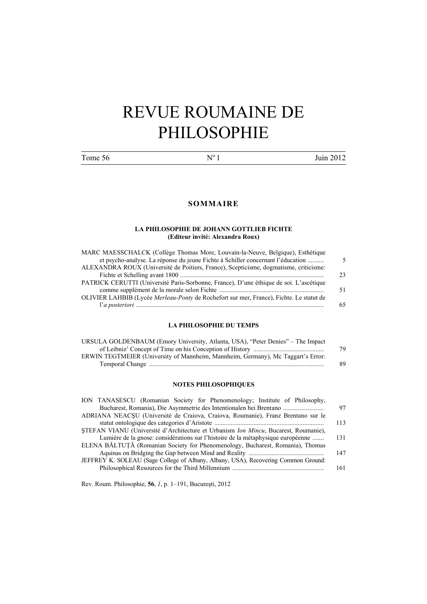# REVUE ROUMAINE DE PHILOSOPHIE

Tome  $56$  N° 1 Juin 2012

# **SOMMAIRE**

#### **LA PHILOSOPHIE DE JOHANN GOTTLIEB FICHTE (Editeur invité: Alexandra Roux)**

| MARC MAESSCHALCK (Collège Thomas More, Louvain-la-Neuve, Belgique), Esthétique          |    |
|-----------------------------------------------------------------------------------------|----|
| et psycho-analyse. La réponse du jeune Fichte à Schiller concernant l'éducation         |    |
| ALEXANDRA ROUX (Université de Poitiers, France), Scepticisme, dogmatisme, criticisme:   |    |
|                                                                                         | つく |
| PATRICK CERUTTI (Université Paris-Sorbonne, France), D'une éthique de soi. L'ascétique  |    |
|                                                                                         |    |
| OLIVIER LAHBIB (Lycée Merleau-Ponty de Rochefort sur mer, France), Fichte. Le statut de |    |
|                                                                                         |    |
|                                                                                         |    |

# **LA PHILOSOPHIE DU TEMPS**

| URSULA GOLDENBAUM (Emory University, Atlanta, USA), "Peter Denies" – The Impact  |     |
|----------------------------------------------------------------------------------|-----|
|                                                                                  | 79. |
| ERWIN TEGTMEIER (University of Mannheim, Mannheim, Germany), Mc Taggart's Error: |     |
|                                                                                  | 89. |

#### **NOTES PHILOSOPHIQUES**

| ION TANASESCU (Romanian Society for Phenomenology; Institute of Philosophy,         |     |
|-------------------------------------------------------------------------------------|-----|
| Bucharest, Romania), Die Asymmetrie des Intentionalen bei Brentano                  | 97  |
| ADRIANA NEACȘU (Université de Craiova, Craiova, Roumanie), Franz Brentano sur le    |     |
|                                                                                     | 113 |
| STEFAN VIANU (Université d'Architecture et Urbanism Ion Mincu, Bucarest, Roumanie), |     |
| Lumière de la gnose: considérations sur l'histoire de la métaphysique européenne    | 131 |
| ELENA BĂLTUȚĂ (Romanian Society for Phenomenology, Bucharest, Romania), Thomas      |     |
|                                                                                     | 147 |
| JEFFREY K. SOLEAU (Sage College of Albany, Albany, USA), Recovering Common Ground:  |     |
|                                                                                     | 161 |
|                                                                                     |     |

Rev. Roum. Philosophie, **56**, *1*, p. 1–191, Bucureşti, 2012